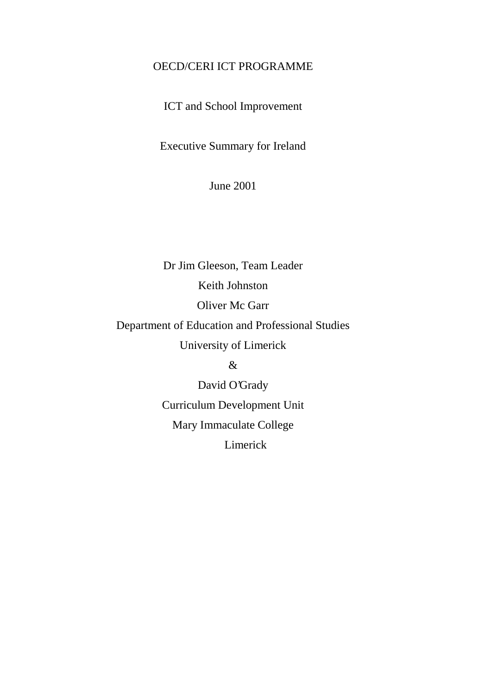# OECD/CERI ICT PROGRAMME

ICT and School Improvement

Executive Summary for Ireland

June 2001

Dr Jim Gleeson, Team Leader Keith Johnston Oliver Mc Garr Department of Education and Professional Studies University of Limerick

&

David O'Grady Curriculum Development Unit Mary Immaculate College Limerick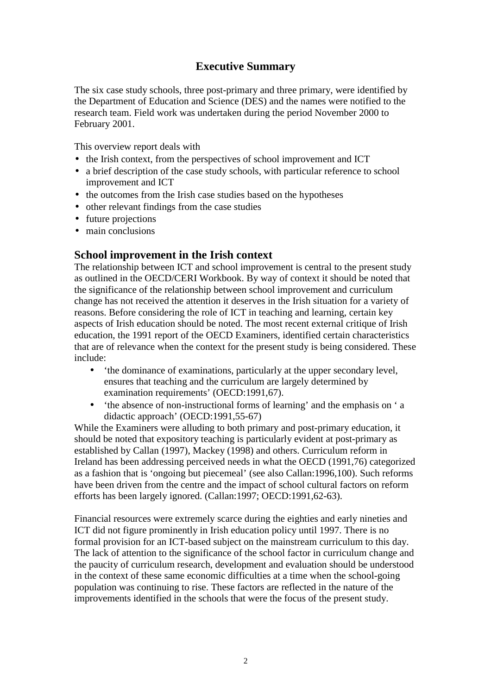# **Executive Summary**

The six case study schools, three post-primary and three primary, were identified by the Department of Education and Science (DES) and the names were notified to the research team. Field work was undertaken during the period November 2000 to February 2001.

This overview report deals with

- the Irish context, from the perspectives of school improvement and ICT
- a brief description of the case study schools, with particular reference to school improvement and ICT
- the outcomes from the Irish case studies based on the hypotheses
- other relevant findings from the case studies
- future projections
- main conclusions

## **School improvement in the Irish context**

The relationship between ICT and school improvement is central to the present study as outlined in the OECD/CERI Workbook. By way of context it should be noted that the significance of the relationship between school improvement and curriculum change has not received the attention it deserves in the Irish situation for a variety of reasons. Before considering the role of ICT in teaching and learning, certain key aspects of Irish education should be noted. The most recent external critique of Irish education, the 1991 report of the OECD Examiners, identified certain characteristics that are of relevance when the context for the present study is being considered. These include:

- 'the dominance of examinations, particularly at the upper secondary level, ensures that teaching and the curriculum are largely determined by examination requirements' (OECD:1991,67).
- 'the absence of non-instructional forms of learning' and the emphasis on ' a didactic approach' (OECD:1991,55-67)

While the Examiners were alluding to both primary and post-primary education, it should be noted that expository teaching is particularly evident at post-primary as established by Callan (1997), Mackey (1998) and others. Curriculum reform in Ireland has been addressing perceived needs in what the OECD (1991,76) categorized as a fashion that is 'ongoing but piecemeal' (see also Callan:1996,100). Such reforms have been driven from the centre and the impact of school cultural factors on reform efforts has been largely ignored. (Callan:1997; OECD:1991,62-63).

Financial resources were extremely scarce during the eighties and early nineties and ICT did not figure prominently in Irish education policy until 1997. There is no formal provision for an ICT-based subject on the mainstream curriculum to this day. The lack of attention to the significance of the school factor in curriculum change and the paucity of curriculum research, development and evaluation should be understood in the context of these same economic difficulties at a time when the school-going population was continuing to rise. These factors are reflected in the nature of the improvements identified in the schools that were the focus of the present study.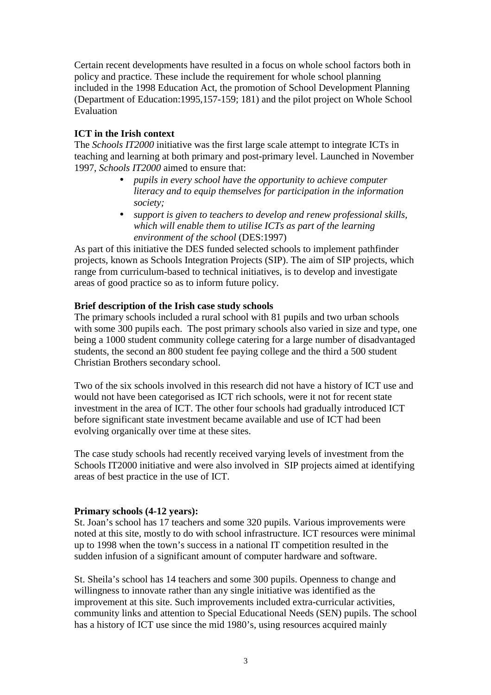Certain recent developments have resulted in a focus on whole school factors both in policy and practice. These include the requirement for whole school planning included in the 1998 Education Act, the promotion of School Development Planning (Department of Education:1995,157-159; 181) and the pilot project on Whole School Evaluation

## **ICT in the Irish context**

The *Schools IT2000* initiative was the first large scale attempt to integrate ICTs in teaching and learning at both primary and post-primary level. Launched in November 1997, *Schools IT2000* aimed to ensure that:

- *pupils in every school have the opportunity to achieve computer literacy and to equip themselves for participation in the information society;*
- *support is given to teachers to develop and renew professional skills, which will enable them to utilise ICTs as part of the learning environment of the school* (DES:1997)

As part of this initiative the DES funded selected schools to implement pathfinder projects, known as Schools Integration Projects (SIP). The aim of SIP projects, which range from curriculum-based to technical initiatives, is to develop and investigate areas of good practice so as to inform future policy.

## **Brief description of the Irish case study schools**

The primary schools included a rural school with 81 pupils and two urban schools with some 300 pupils each. The post primary schools also varied in size and type, one being a 1000 student community college catering for a large number of disadvantaged students, the second an 800 student fee paying college and the third a 500 student Christian Brothers secondary school.

Two of the six schools involved in this research did not have a history of ICT use and would not have been categorised as ICT rich schools, were it not for recent state investment in the area of ICT. The other four schools had gradually introduced ICT before significant state investment became available and use of ICT had been evolving organically over time at these sites.

The case study schools had recently received varying levels of investment from the Schools IT2000 initiative and were also involved in SIP projects aimed at identifying areas of best practice in the use of ICT.

### **Primary schools (4-12 years):**

St. Joan's school has 17 teachers and some 320 pupils. Various improvements were noted at this site, mostly to do with school infrastructure. ICT resources were minimal up to 1998 when the town's success in a national IT competition resulted in the sudden infusion of a significant amount of computer hardware and software.

St. Sheila's school has 14 teachers and some 300 pupils. Openness to change and willingness to innovate rather than any single initiative was identified as the improvement at this site. Such improvements included extra-curricular activities, community links and attention to Special Educational Needs (SEN) pupils. The school has a history of ICT use since the mid 1980's, using resources acquired mainly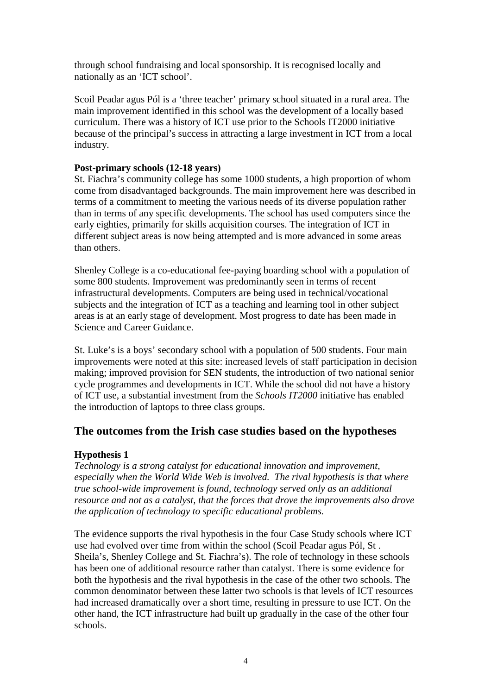through school fundraising and local sponsorship. It is recognised locally and nationally as an 'ICT school'.

Scoil Peadar agus Pól is a 'three teacher' primary school situated in a rural area. The main improvement identified in this school was the development of a locally based curriculum. There was a history of ICT use prior to the Schools IT2000 initiative because of the principal's success in attracting a large investment in ICT from a local industry.

### **Post-primary schools (12-18 years)**

St. Fiachra's community college has some 1000 students, a high proportion of whom come from disadvantaged backgrounds. The main improvement here was described in terms of a commitment to meeting the various needs of its diverse population rather than in terms of any specific developments. The school has used computers since the early eighties, primarily for skills acquisition courses. The integration of ICT in different subject areas is now being attempted and is more advanced in some areas than others.

Shenley College is a co-educational fee-paying boarding school with a population of some 800 students. Improvement was predominantly seen in terms of recent infrastructural developments. Computers are being used in technical/vocational subjects and the integration of ICT as a teaching and learning tool in other subject areas is at an early stage of development. Most progress to date has been made in Science and Career Guidance.

St. Luke's is a boys' secondary school with a population of 500 students. Four main improvements were noted at this site: increased levels of staff participation in decision making; improved provision for SEN students, the introduction of two national senior cycle programmes and developments in ICT. While the school did not have a history of ICT use, a substantial investment from the *Schools IT2000* initiative has enabled the introduction of laptops to three class groups.

## **The outcomes from the Irish case studies based on the hypotheses**

## **Hypothesis 1**

*Technology is a strong catalyst for educational innovation and improvement, especially when the World Wide Web is involved. The rival hypothesis is that where true school-wide improvement is found, technology served only as an additional resource and not as a catalyst, that the forces that drove the improvements also drove the application of technology to specific educational problems.*

The evidence supports the rival hypothesis in the four Case Study schools where ICT use had evolved over time from within the school (Scoil Peadar agus Pól, St . Sheila's, Shenley College and St. Fiachra's). The role of technology in these schools has been one of additional resource rather than catalyst. There is some evidence for both the hypothesis and the rival hypothesis in the case of the other two schools. The common denominator between these latter two schools is that levels of ICT resources had increased dramatically over a short time, resulting in pressure to use ICT. On the other hand, the ICT infrastructure had built up gradually in the case of the other four schools.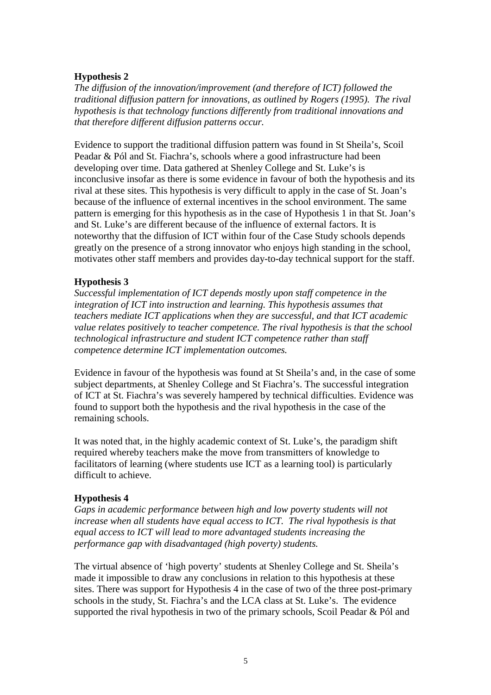## **Hypothesis 2**

*The diffusion of the innovation/improvement (and therefore of ICT) followed the traditional diffusion pattern for innovations, as outlined by Rogers (1995). The rival hypothesis is that technology functions differently from traditional innovations and that therefore different diffusion patterns occur.*

Evidence to support the traditional diffusion pattern was found in St Sheila's, Scoil Peadar & Pól and St. Fiachra's, schools where a good infrastructure had been developing over time. Data gathered at Shenley College and St. Luke's is inconclusive insofar as there is some evidence in favour of both the hypothesis and its rival at these sites. This hypothesis is very difficult to apply in the case of St. Joan's because of the influence of external incentives in the school environment. The same pattern is emerging for this hypothesis as in the case of Hypothesis 1 in that St. Joan's and St. Luke's are different because of the influence of external factors. It is noteworthy that the diffusion of ICT within four of the Case Study schools depends greatly on the presence of a strong innovator who enjoys high standing in the school, motivates other staff members and provides day-to-day technical support for the staff.

### **Hypothesis 3**

*Successful implementation of ICT depends mostly upon staff competence in the integration of ICT into instruction and learning. This hypothesis assumes that teachers mediate ICT applications when they are successful, and that ICT academic value relates positively to teacher competence. The rival hypothesis is that the school technological infrastructure and student ICT competence rather than staff competence determine ICT implementation outcomes.*

Evidence in favour of the hypothesis was found at St Sheila's and, in the case of some subject departments, at Shenley College and St Fiachra's. The successful integration of ICT at St. Fiachra's was severely hampered by technical difficulties. Evidence was found to support both the hypothesis and the rival hypothesis in the case of the remaining schools.

It was noted that, in the highly academic context of St. Luke's, the paradigm shift required whereby teachers make the move from transmitters of knowledge to facilitators of learning (where students use ICT as a learning tool) is particularly difficult to achieve.

### **Hypothesis 4**

*Gaps in academic performance between high and low poverty students will not increase when all students have equal access to ICT. The rival hypothesis is that equal access to ICT will lead to more advantaged students increasing the performance gap with disadvantaged (high poverty) students.*

The virtual absence of 'high poverty' students at Shenley College and St. Sheila's made it impossible to draw any conclusions in relation to this hypothesis at these sites. There was support for Hypothesis 4 in the case of two of the three post-primary schools in the study, St. Fiachra's and the LCA class at St. Luke's. The evidence supported the rival hypothesis in two of the primary schools, Scoil Peadar & Pól and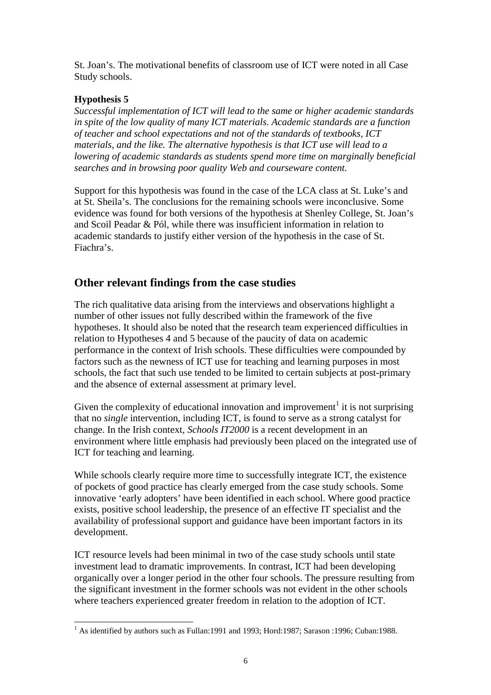St. Joan's. The motivational benefits of classroom use of ICT were noted in all Case Study schools.

## **Hypothesis 5**

*Successful implementation of ICT will lead to the same or higher academic standards in spite of the low quality of many ICT materials. Academic standards are a function of teacher and school expectations and not of the standards of textbooks, ICT materials, and the like. The alternative hypothesis is that ICT use will lead to a lowering of academic standards as students spend more time on marginally beneficial searches and in browsing poor quality Web and courseware content.*

Support for this hypothesis was found in the case of the LCA class at St. Luke's and at St. Sheila's. The conclusions for the remaining schools were inconclusive. Some evidence was found for both versions of the hypothesis at Shenley College, St. Joan's and Scoil Peadar & Pól, while there was insufficient information in relation to academic standards to justify either version of the hypothesis in the case of St. Fiachra's.

# **Other relevant findings from the case studies**

The rich qualitative data arising from the interviews and observations highlight a number of other issues not fully described within the framework of the five hypotheses. It should also be noted that the research team experienced difficulties in relation to Hypotheses 4 and 5 because of the paucity of data on academic performance in the context of Irish schools. These difficulties were compounded by factors such as the newness of ICT use for teaching and learning purposes in most schools, the fact that such use tended to be limited to certain subjects at post-primary and the absence of external assessment at primary level.

Given the complexity of educational innovation and improvement<sup>1</sup> it is not surprising that no *single* intervention, including ICT, is found to serve as a strong catalyst for change. In the Irish context, *Schools IT2000* is a recent development in an environment where little emphasis had previously been placed on the integrated use of ICT for teaching and learning.

While schools clearly require more time to successfully integrate ICT, the existence of pockets of good practice has clearly emerged from the case study schools. Some innovative 'early adopters' have been identified in each school. Where good practice exists, positive school leadership, the presence of an effective IT specialist and the availability of professional support and guidance have been important factors in its development.

ICT resource levels had been minimal in two of the case study schools until state investment lead to dramatic improvements. In contrast, ICT had been developing organically over a longer period in the other four schools. The pressure resulting from the significant investment in the former schools was not evident in the other schools where teachers experienced greater freedom in relation to the adoption of ICT.

 $\overline{a}$  $<sup>1</sup>$  As identified by authors such as Fullan:1991 and 1993; Hord:1987; Sarason :1996; Cuban:1988.</sup>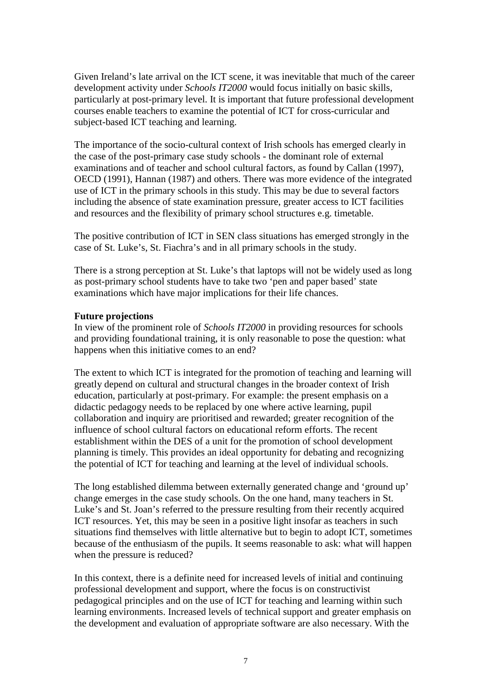Given Ireland's late arrival on the ICT scene, it was inevitable that much of the career development activity under *Schools IT2000* would focus initially on basic skills, particularly at post-primary level. It is important that future professional development courses enable teachers to examine the potential of ICT for cross-curricular and subject-based ICT teaching and learning.

The importance of the socio-cultural context of Irish schools has emerged clearly in the case of the post-primary case study schools - the dominant role of external examinations and of teacher and school cultural factors, as found by Callan (1997), OECD (1991), Hannan (1987) and others. There was more evidence of the integrated use of ICT in the primary schools in this study. This may be due to several factors including the absence of state examination pressure, greater access to ICT facilities and resources and the flexibility of primary school structures e.g. timetable.

The positive contribution of ICT in SEN class situations has emerged strongly in the case of St. Luke's, St. Fiachra's and in all primary schools in the study.

There is a strong perception at St. Luke's that laptops will not be widely used as long as post-primary school students have to take two 'pen and paper based' state examinations which have major implications for their life chances.

#### **Future projections**

In view of the prominent role of *Schools IT2000* in providing resources for schools and providing foundational training, it is only reasonable to pose the question: what happens when this initiative comes to an end?

The extent to which ICT is integrated for the promotion of teaching and learning will greatly depend on cultural and structural changes in the broader context of Irish education, particularly at post-primary. For example: the present emphasis on a didactic pedagogy needs to be replaced by one where active learning, pupil collaboration and inquiry are prioritised and rewarded; greater recognition of the influence of school cultural factors on educational reform efforts. The recent establishment within the DES of a unit for the promotion of school development planning is timely. This provides an ideal opportunity for debating and recognizing the potential of ICT for teaching and learning at the level of individual schools.

The long established dilemma between externally generated change and 'ground up' change emerges in the case study schools. On the one hand, many teachers in St. Luke's and St. Joan's referred to the pressure resulting from their recently acquired ICT resources. Yet, this may be seen in a positive light insofar as teachers in such situations find themselves with little alternative but to begin to adopt ICT, sometimes because of the enthusiasm of the pupils. It seems reasonable to ask: what will happen when the pressure is reduced?

In this context, there is a definite need for increased levels of initial and continuing professional development and support, where the focus is on constructivist pedagogical principles and on the use of ICT for teaching and learning within such learning environments. Increased levels of technical support and greater emphasis on the development and evaluation of appropriate software are also necessary. With the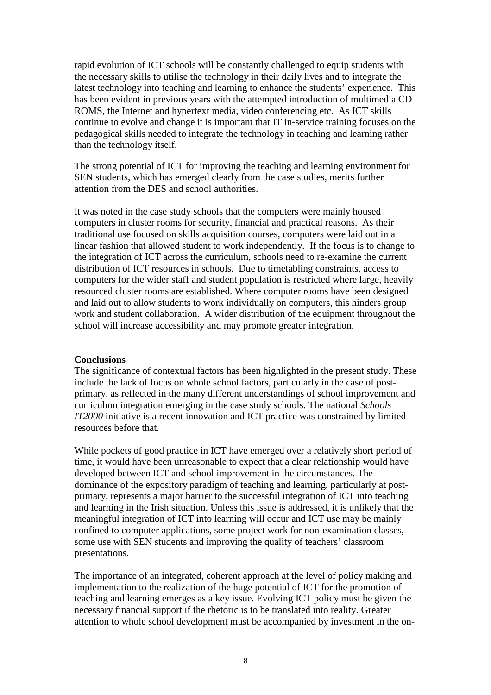rapid evolution of ICT schools will be constantly challenged to equip students with the necessary skills to utilise the technology in their daily lives and to integrate the latest technology into teaching and learning to enhance the students' experience. This has been evident in previous years with the attempted introduction of multimedia CD ROMS, the Internet and hypertext media, video conferencing etc. As ICT skills continue to evolve and change it is important that IT in-service training focuses on the pedagogical skills needed to integrate the technology in teaching and learning rather than the technology itself.

The strong potential of ICT for improving the teaching and learning environment for SEN students, which has emerged clearly from the case studies, merits further attention from the DES and school authorities.

It was noted in the case study schools that the computers were mainly housed computers in cluster rooms for security, financial and practical reasons. As their traditional use focused on skills acquisition courses, computers were laid out in a linear fashion that allowed student to work independently. If the focus is to change to the integration of ICT across the curriculum, schools need to re-examine the current distribution of ICT resources in schools. Due to timetabling constraints, access to computers for the wider staff and student population is restricted where large, heavily resourced cluster rooms are established. Where computer rooms have been designed and laid out to allow students to work individually on computers, this hinders group work and student collaboration. A wider distribution of the equipment throughout the school will increase accessibility and may promote greater integration.

### **Conclusions**

The significance of contextual factors has been highlighted in the present study. These include the lack of focus on whole school factors, particularly in the case of postprimary, as reflected in the many different understandings of school improvement and curriculum integration emerging in the case study schools. The national *Schools IT2000* initiative is a recent innovation and ICT practice was constrained by limited resources before that.

While pockets of good practice in ICT have emerged over a relatively short period of time, it would have been unreasonable to expect that a clear relationship would have developed between ICT and school improvement in the circumstances. The dominance of the expository paradigm of teaching and learning, particularly at postprimary, represents a major barrier to the successful integration of ICT into teaching and learning in the Irish situation. Unless this issue is addressed, it is unlikely that the meaningful integration of ICT into learning will occur and ICT use may be mainly confined to computer applications, some project work for non-examination classes, some use with SEN students and improving the quality of teachers' classroom presentations.

The importance of an integrated, coherent approach at the level of policy making and implementation to the realization of the huge potential of ICT for the promotion of teaching and learning emerges as a key issue. Evolving ICT policy must be given the necessary financial support if the rhetoric is to be translated into reality. Greater attention to whole school development must be accompanied by investment in the on-